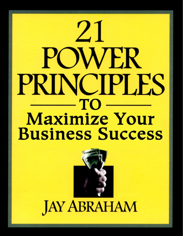# $21$ WER PRINCIPLES  $-TO$ **Maximize Your Business Success**

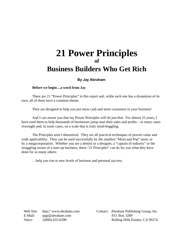## **21 Power Principles of Business Builders Who Get Rich**

#### **By Jay Abraham**

#### **Before we begin…a word from Jay**

There are 21 "Power Principles" in this report and, while each one has a dynamism of its own, all of them have a common theme:

They are designed to help you put more cash and more customers in your business!

And I can assure you that my Power Principles will do just that. For almost 25 years, I have used them to help thousands of businesses jump-start their sales and profits  $-$  in many cases overnight and, in some cases, on a scale that is truly mind-boggling.

The Principles aren't theoretical. They are all practical techniques of proven value and wide applicability. They can be used successfully by the smallest "Mom and Pop" store, or by a megacorporation. Whether you are a dentist or a designer, a "captain of industry" or the struggling owner of a start-up business, these "21 Principles" can do for you what they have done for so many others:

…help you rise to new levels of business and personal success.

Web Site: http:// www.abraham.com E-Mail: apgi@abraham.com Voice: 1(800) 635-6298

 Contact: Abraham Publishing Group, Inc. P.O. Box 3289 Rolling Hills Estates, CA 90274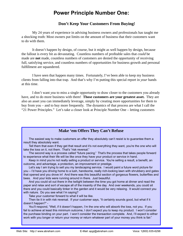## **Power Principle Number One:**

#### **Don't Keep Your Customers From Buying!**

My 24 years of experience in advising business owners and professionals has taught me a shocking truth: Most owners put limits on the amount of business that their customers want to do with them.

It doesn't happen by design, of course, but it might as well happen by design, because the fallout is every bit as devastating. Countless numbers of profitable sales that *could* be made are **not** made, countless numbers of customers are denied the opportunity of receiving full, satisfying service, and countless numbers of opportunities for business growth and personal fulfillment are squandered.

I have seen that happen many times. Fortunately, I've been able to keep my business clients from falling into that trap. And that's why I'm putting this special report in *your* hands at this time.

I don't want *you* to miss a single opportunity to draw closer to the customers you already have, and to do more business with them! **Those customers are your greatest asset.** They are also an asset you can immediately leverage, simply by creating more opportunities for them to buy from you – and to buy more frequently. The dynamics of that process are what I call the "21 Power Principles." Let's take a closer look at Principle Number One – letting customers

#### **Make 'em Offers They Can't Refuse**

The easiest way to make customers an offer they absolutely can't resist is to guarantee them a result they absolutely want.

Tell them that even if they get that result and it's not everything they want, you're the one who will take the loss on it, not them. That's "risk reversal."

The second way is a process called "future pacing." That's the process that takes people forward to experience what their life will be like once they have your product or service in hand.

Keep in mind you're not really selling a product or service. You're selling a result, a benefit, an outcome, and advantage, a protection, an improvement or prestige.

Let's say I am trying to sell you my landscaping service. I would paint a future word picture for you – I'd have you driving home to a lush, handsome, really rich-looking lawn with shrubbery and gates that opened and you drove in! And there was this beautiful section of gorgeous flowers, butterflies and bees. And your kids were running around in there. Just beautiful.

And you could sit out there in the twilight between the time you got home at dinner and read the paper and relax and sort of escape all of the insanity of the day. And over weekends, you could sit there and you could basically tinker in the garden and it would be very relaxing. It would connect you with nature. Do you see what I'm saying?

Take your customer forward to what it will be like.

Then tie it in with risk reversal. If your customer says, "It certainly sounds good, but what if it doesn't happen?" -

You'll respond, "Well, if it doesn't happen, I'm the one who will absorb the loss, not you. If you fail to achieve at least this minimum outcome, I don't expect you to keep my product. I won't consider the purchase binding on your part. I won't consider the transaction complete. And, I'll expect to either work with you longer or return your money or return whatever part of your money you think is fair."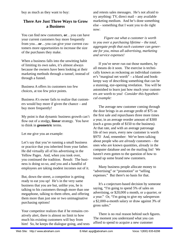buy as much as they want to buy:

#### **There Are Just Three Ways to Grow a Business**

You can find new customers, or...you can have your current customers buy more frequently from you…**or**…you can give your current customers more opportunities to increase the size of the purchases they make.

When a business falls into the unwitting habit of limiting its own sales, it's almost always because the owners have been looking at their marketing methods through a tunnel, instead of through a funnel.

Business A offers its customers too few choices, at too few price points.

Business A's owner fails to realize that customers would buy more if given the chance – and buy more frequently!

My point is that dynamic business growth can't flow out of a stodgy, **linear** strategy. You have to think in **geometric** terms.

Let me give you an example:

Let's say that you're running a small business or practice that you inherited from your father. He did virtually all of his advertising in the Yellow Pages. And, when you took over, you continued the tradition. Result: The business is doing so-so, and you and a handful of employees are taking modest incomes out of it.

But, down the street, a competitor is getting ready to eat you up! He's in the very same business that you are but, unlike you, he is talking to his customers through more than one megaphone, talking to them often, and offering them more than just one or two unimaginative purchasing options!

Your competitor realizes that if he remains creatively alert, there is almost no limit to how much his existing customers will buy from him! So, he keeps the dialogue going, and tests and retests sales messages. He's not afraid to try anything: TV, direct mail – any available marketing medium. And he's done something else – something that I want you to do right now:

*Figure out what a customer is worth to you over a purchasing lifetime – the total,*  aggregate profit that each customer can gener*ate for you, minus all advertising, marketing and service expenses!*

If you've never run out those numbers, by all means do it soon. The exercise is technically known as reckoning an individual customer's "marginal net worth" – a bland and bookkeepy way of describing something that can be a stunning, eye-opening revelation. You will be astonished to learn just how much your customers are worth to you! *Consider this hypothetical example:*

The average new customer coming through the door brings in an average profit of \$75 on the first sale and repurchases three more times a year, in an average reorder amount of \$300 (each a gross profit of \$150 to the business). At that rate, and with an average patronage life of two years, every new customer is worth \$975! And, remember: We've been talking about people who are *already* customers – the ones who are known quantities, already in the computer database and on the mailing list! We haven't even gotten to the question of how to round up some brand new customers.

Many business people allocate money to "advertising" or "promotion" or "selling expenses." But there's no basis for that.

It's a conjecture-based decision by someone saying, "I'm going to spend 5% of sales on advertising, or \$20,000 a month, or a quarter, or a year." Or, "I'm going to give my salesperson a \$2,000-a-month salary or draw against 3% of gross sales."

There is no real reason behind such figures. The moment you understand what you can afford to spend to acquire a new customer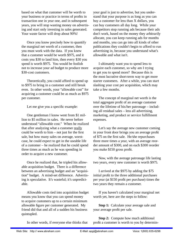based on what that customer will be worth to your business or practice in terms of profits in transaction one in year one, and in subsequent years, you will stop wasting money on advertising and start only investing in sales generated. Your waste factor will drop about 90%!

Once you know precisely how to quantify the marginal net worth of a customer, then you must work with the data. If you knew that a customer would be worth \$975, and it costs you \$30 to land him, then every \$30 you spend is worth \$975. You would be foolish not to increase your ad budget to produce more \$30-cost customers.

Theoretically, you could afford to spend up to \$975 to bring in a customer and still break even. In other words, your "allowable cost" for acquiring a customer could be as much as \$975 per customer.

Let me give you a specific example:

One gentleman I know went from \$1 million to \$5 million in sales. He never before understood "allowable cost." When he realized that after analyzing what a customer really could be worth to him  $-$  not just for the first sale, but how many sales on average, worstcase, he could expect to get in the useable life of a customer – he realized that he could spend three times as much as he was spending in order to acquire a new customer.

Once he realized that, he tripled his allowable acquisition budget. There is a difference between an advertising budget and an "acquisition" budget. A mind-set difference. Advertising is speculative. It's wasteful; it's unpredictable.

Allowable costs tied into acquisition budget means you know that you can spend money to acquire customers up to a certain minimum allowable figure per customer generated. My friend did that and all of a sudden his business quintupled.

your goal is just to advertise, but you understand that your purpose is as long as you can buy a customer for less than X dollars, you can buy customers all day long. While your competitors stop running ads because their ads don't work, based on the money they arbitrarily allocate, you can keep running ads for months and months, you can go into all kinds of other publications they couldn't begin to afford to run advertising in, because you understand what's allowable and what isn't.

I ultimately want you to spend less to acquire each customer, so why am I trying to get you to spend more? Because this is the most lucrative short-term way to get more starter customers. After a while, you can start slashing your cost per acquisition, which may take a few months.

The concept of marginal net worth is the total aggregate profit of an average customer over the lifetime of his/her patronage – including all residual sales – less all advertising, marketing, and product or service fulfillment expenses.

Let's say the average new customer coming in your front door brings you an average profit of \$75 on the first sale. He/she repurchases three more times a year, with an average reorder amount of \$300, and on each \$300 reorder you make \$150 gross profit.

Now, with the average patronage life lasting two years, every new customer is worth \$975.

I arrived at the \$975 by adding the \$75 initial profit to the three additional purchases per year (at \$150 profit per purchase) times the two years they remain a customer.

If you haven't calculated your marginal net worth yet, here are the steps to follow:

**Step 1:** Calculate your average sale and your average profit per sale.

**Step 2:** Compute how much additional profit a customer is worth to you by determin-

In other words, if everyone else thinks that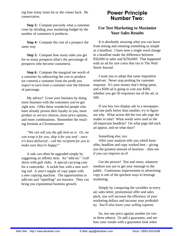ing how many times he or she comes back. Be conservative.

**Step 3:** Compute precisely what a customer costs by dividing your marketing budget by the number of customers it produces.

**Step 4:** Compute the cost of a prospect the same way.

**Step 5:** Compute how many sales you get for so many prospects (that's the percentage of prospects who become customers).

**Step 6:** Compute the marginal net worth of a customer by subtracting the cost to produce (or convert) a customer from the profit you expect to earn from a customer over the lifetime of patronage.

My advice? Grow your business by doing more business with the customers you've got right now. Offer these wonderful people who have already proven their loyalty to you, more product or service choices, more price options, and more combinations. Remember the retailing formula at Christmastime:

*"We can sell you the gift item as is. Or, we can wrap it for you, ship it for you and – once it's been delivered – call the recipient for you to make sure they're happy!"*

A sale can often be upgraded simply by suggesting an affinity item. An "add-on." Golf shirts with golf clubs. A special carrying case for a camcorder. A tackle box with a new surfing rod. A year's supply of copy paper with a new copying machine. The opportunities in add-ons and "upselling" are massive. They can bring you exponential business growth.

## **Power Principle Number Two:**

#### **Use Test Marketing to Maximize Your Sales Results**

It is absolutely amazing what you can learn from testing and retesting something as simple as a headline. I have seen a single word change in a headline make the difference between \$50,000 in sales and \$250,000! That happened with an ad for rare coins that ran in The Wall Street Journal.

I want you to adopt that same inquisitive mind-set: Never stop probing for customer response. It's your money that's being spent, and a \$500 ad is going to cost you \$500, whether you get 50 responses out of the ad, or 500.

If you buy two display ads in a newspaper, and one pulls better than another, try to figure out why. What action did the two ads urge the reader to take? What words were used in the all-important headline? On what page did each ad appear, and on what days?

#### Something else, too:

After your analysis tells you which basic offer, headline and copy worked best – giving you the greatest amount of business – then see if you can improve on it!

Get the picture? Test and retest, whatever medium you use to get your message to the public. Continuous improvement in advertising copy is one of the quickest ways to leverage marketing.

Simply by comparing the variables in every ad, sales letter, promotional offer and sales pitch, you will increase the efficiency of your marketing dollars and increase your profitability. *You'll also lower your selling expense*.

So, test one price against another (or two or three others). Or add a guarantee, and see how your results with a guarantee look when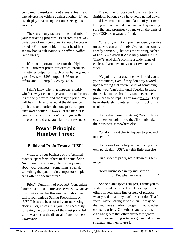compared to results *without* a guarantee. Test one advertising vehicle against another. If you use display advertising, test one size against another.

There are many factors in the total mix of your marketing program. Each step of the way, variations of each component should be crosstested. (For more on high-impact headlines, see my bonus publication "*37 Million-Dollar Headlines*.")

It's also important to test for the "right" price. Different prices for identical products sometimes outperform each other by huge margins. I've seen \$295 outpull \$195 on some offers, and \$19 outpull \$25 by 300%.

I don't know why that happens, frankly, which is why I encourage you to test and retest. It's the only way to find the "right" price. You will be simply astonished at the difference in profit and total orders that one price can produce over another. Always, let the market tell you the correct price, don't try to guess the price as it could cost you significant revenues.

## **Power Principle Number Three:**

#### **Build and Profit From a "USP"**

What sets your business or professional practice apart form others in the same field? And, more to the point, what is truly unique about your business – something "special," something that your main competitor simply can't offer or doesn't offer?

Price? Durability of product? Convenient hours? Great post-purchase service? Whatever it is, make sure that this unique quality (we'll call it your Unique Selling Proposition, or "USP") is at the heart of all your marketing efforts. For, unless it is, you'll be needlessly forfeiting the use of one of the most powerful sales weapons at the disposal of any business: *uniqueness.*

The number of possible USPs is virtually limitless, but once you have yours nailed down – and have made it the foundation of your marketing – proactively defend yourself by making sure that any promises you make on the basis of your USP are always fulfilled.

*For example*: Don't promise speedy service unless you can unfailingly give your customers speedy service. (That was the winning cachet of FedEx – "When It Absolutely Must Be On Time.") And don't promise a wide range of choices if you have only one or two items in stock.

My point is that customers will hold you to your promises, even if they don't say a word upon learning that you're "out" of something, or that you "can't ship until Tuesday because the truck's in the shop." Customers expect promises to be kept. They want results. They have absolutely no interest in your truck or its troubles.

If you disappoint the strong, "silent" typecustomers enough times, they'll simply take their business somewhere else!

You don't want that to happen to you, and neither do I.

If you need some help in identifying your own particular "USP", try this little exercise:

On a sheet of paper, write down this sentence:

"Most businesses in my industry do  $\frac{1}{2}$ . But what we do is  $\frac{1}{2}$ .

As the blank spaces suggest, I want you to write in whatever it is that sets you apart from others in your same line or field of practice  $$ what you do that they don't or can't do. That's your Unique Selling Proposition. It may be that you have a trade-in program that no other company offers. Or perhaps you serve a specific age group that other businesses ignore. The important thing is to recognize that unique strength, and then to use it!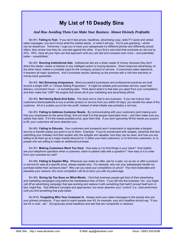## **My List of 10 Deadly Sins**

#### *And How Avoiding Them Can Make Your Business Almost Divinely Profi table*

Sin #1) **Failing to Test:** If you don't test prices, headlines, advertising copy, radio/TV spots and verbal sales messages, you won't know what the market wants, or what it will pay. You're just guessing – which can be disastrous. Tomorrow, I urge you to have your salespeople try different pitches and differently priced offers, then review how they do, one test against the other. If you find a new twist that outcloses an old one by 25% - 50%, have all your reps use that approach until you can test and compare even more – and potentially better – possibilities!

Sin #2) **Running Institutional Ads:** Institutional ads are a sheer waste of money, because they don't direct the reader, viewer or listener to any intelligent action or buying decision. Direct response advertising, on the other hand, makes a complete case for the company, product or service. It overcomes sales objections. It answers all major questions. And it promises results, backing up the promise with a risk-free warranty or money-back guarantee.

Sin #3) **Not Stressing Uniqueness**. Most successful businesses and professional practices are built around a single USP, or "Unique Selling Proposition." It might be reliable post-purchase service, super fast delivery, convenient hours – or something else. Think about what it is that sets you apart from your competitors, and then make that "USP" the engine that drives all of your marketing and advertising efforts.

Sin #4) **Not Having Back-End Sales**. The back end is vital to any business. If you can induce new customers/clients/patients to buy a similar product or service from you within 45 days, you double the value of the customer. All of a sudden you're far into profit, instead of what initially was probably a net loss.

Sin #5) **Failing to Address Customer Needs**. By communicating with your customers (and making sure that your employees do the same thing), find out what it is that people need/want most – and then make sure you satisfy that need. If it's the lowest possible price, give them that. If you don't genuinely fill the needs you purport to fill, your customers will soon abandon you.

Sin #6) **Failing to Educate**. Your customers and prospects won't understand or appreciate a bargain, service or benefit unless you point it out to them. Example: If you're overstocked with widgets, advertise that fact (admitting your mistake) and then explain why the widgets are valuable, how they can be used, and how you are willing to let them go at a major market discount to 1) either your best customers, or 2) first-time customers, or 3) people who are willing to make an additional purchase.

Sin #7) Making Customers Work Too Hard. How easy is it to find things in your store? How helpful are your telephone operators when a customer, client or patient calls with a question? How easy is it to order from your business by mail?

Sin #8) **Failing to Explain Why**. Whenever you make an offer, ask for a sale, run an ad, or offer a product or service for sale at a specific price, always explain why. For example, why can your salespeople handle my purchase better than someone else? Why can you beat your competitors on price? The more believable and plausible your reasons, the more compelled I will be to favor you with my patronage.

Sin #9) Giving Up Too Soon on What Works. I find that business people get tired of their advertising and marketing campaigns long before the marketplace tires of them. If you fell into this business "sin," you might call off an advertising campaign that was working and replace it with something that hadn't proved itself and, in fact, might flop. Test different concepts and approaches, but never abandon your "control" (i.e., best performer) until you find something that pulls better.

Sin #10) **Forgetting Who Your Customer Is**. Always send your sales messages to the people who are your primary prospects. If you want to reach people over 45, for example, your ad's headline should say, "If you are 45 or over...etc." Scrupulously avoid headlines and ads that are nonspecific or abstract.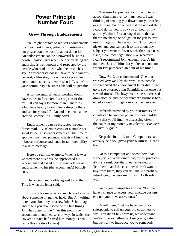## **Power Principle Number Four:**

#### **Grow Through Endorsements**

You might hesitate to request endorsements from you best clients, patients or customers, but please don't be bashful about doing it! An endorsement can be a powerful business booster, particularly when the person doing the endorsing is well known and respected by the people who read or hear what he or she has to say. Your endorser doesn't have to be a famous general, a film star, or a university president to command respect; someone who is "visible" in your community's business life will do just fine!

Also, the endorsement's wording doesn't have to be (in fact, *shouldn't* be) run-of-themill. It can say a lot more than "Jane runs a fabulous beauty salon, please drop by there and see for yourself." An endorsement can be creative, compelling – truly novel.

Endorsements can be presented through direct mail, TV, telemarketing or a simple personal letter. I use endorsements all the time to approach my new, potential clients  $-$  I find that it boosts response and lends instant credibility to a sales message.

Here's a real-life example: When a lawyer wanted more business, he approached his accountant and asked him to send a letter of endorsement to his (the accountant's) best clients.

The accountant readily agreed to do that. This is what the letter said:

"It's rare for me to write, much less to write about someone in another field. But I'm writing to tell you about my attorney, John Schmidlap, and to tell you about some of the fine things John has done for me." (At this point, the accountant mentioned several ways in which the lawyer's advice had saved him money. Then came this creative kicker-)

"Because I appreciate your loyalty to our accounting firm over so many years, I was thinking of sending you flowers for your office, or a gift box, but I decided that the noblest thing I could do for you is buy you an hour of my attorney's time! I've arranged to do that, and there's no charge or obligation for you to ever use him again. The session won't cost you a nickel, and you can use it to talk about any subject you want to discuss, whether it's a trust issue, a contract negotiation – or whatever. I can't recommend John enough. Here's his number. Just tell him that you're someone for whom I've purchased an hour of his time."

Now, *that's* an endorsement! One that worked very well, by the way. Most people who received the endorsement letter did in fact go to see attorney John Schmidlap, not once but several times! The lawyer's business increased dramatically, and the accountant's business benefited as well, through a referral percentage.

Referrals provided by your customers or clients can be another potent business builder  $-$  one that you'll find me discussing often in the pages of my monthly newsletter, *"Business Breakthroughs."*

Keep this in mind, too: Competitors can actually help you **grow your business**. Here's how:

Go to a competitor and show them that if they've lost a customer that, for all practicality, it's a sunk cost that they've written off. Tell them that if the customer doesn't want to buy from them, they can still make a profit by introducing the customer to you. Both sides win.

Go to your competitor and say, "Let me have a chance to access your inactive customers, not your new, active ones."

Or tell them, "Let me have one of your salespeople to call on your old customers to say, 'You didn't buy from us, we understand. We've done something to lose your goodwill, but we want to introduce you to somebody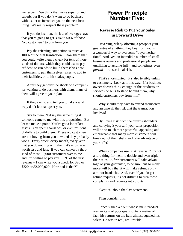we respect. We think that we're superior and superb, but if you don't want to do business with us, let us introduce you to the next best thing. We really respect these people.'"

If you do just that, the law of averages says that you're going to get 30% to 50% of those "old customers" to buy from you.

Pay the referring competitor as much as 100% of the first transaction. Show them that you could write them a check for tens of thousands of dollars, which they could use to pay off debt, to run ads to build themselves new customers, to pay themselves raises, to add to their facilities, or to hire salespeople.

After they get over the shock of a competitor wanting to do business with them, many of them will agree to your plan.

If they say no and tell you to take a wild leap, don't let that upset you.

Say to them, "I'd say the same thing if someone came to me with this proposition. But let me make a point: You've got a lot of lost assets. You spent thousands, or even millions of dollars to build them. These old customers are not buying from you now and they probably won't. Every week, every month, every year that you do nothing with them, it's a lost asset worth less and less. If you can convert a thousand of those 10,000 customers over to me – and I'm willing to pay you 100% of the first revenue – I can write you a check for \$20 or \$220 or \$2,000,020. How bad is that?"

## **Power Principle Number Five:**

#### **Reverse Risk to Put Your Sales in Forward Drive**

Reversing risk by offering a prospect your guarantee of anything they buy from you is a wonderful way to overcome "buyer hesitation." And, yet, an incredible number of smallbusiness owners and professional people are unwilling to assume full – and sometimes even *partial* – transactional risk.

That's shortsighted. It's also terribly unfair to customers. Look at it this way: If a business owner doesn't think enough of the products or services he sells to stand behind them, why should customers buy from him?

Why should they have to extend themselves and assume all the risk that the transaction involves?

By lifting risk from the buyer's shoulders and carrying it yourself, your sales proposition will be so much more powerful, appealing and embraceable that many more customers will break out of their shells and take advantage of your offer!

When companies use "risk reversal," it's not a rare thing for them to double and even triple their sales. A few customers will take advantage of your guarantee, to be sure, but so many more will buy that it will make refunds only a minor headache. And, even if you do get refund requests, it's not difficult to turn those complaints and requests into profits.

Skeptical about that last statement?

Then consider this:

I once signed a client whose main product was an item of poor quality. As a matter of fact, his returns on the item almost equaled his sales! He was in real, real trouble.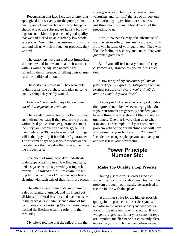Recognizing that fact, I crafted a letter that apologized unreservedly for the poor product quality and offered each person who had purchased one of the substandard items a big savings on some kindred products of good quality that we had picked up at incredibly low wholesale prices. We invited the customers to simply call and tell us which product, or products, they wanted.

The customers were assured that immediate shipment would follow, and that their account with us would be adjusted accordingly – refunding the difference, or billing their charge card the additional amount.

The customers *loved* us. They were able to dump a terrible purchase, and pick up some quality things they really wanted.

#### *Everybody – including my client – came out of that experience a winner.*

The standard guarantee is to offer customers their money back if they return the product within 30 days. A stronger guarantee is to let them try your product free of charge, billing them only after 30 days have expired. Stronger still is the "pay only if it validates" guarantee: The customer pays only if your product or service delivers them a value that is, say, five times the product price.

One client of mine, who does industrialscale carpet cleaning in a New England state, tied a skyrocket to his growth by using risk reversal. He talked a furniture chain into letting him test an offer of "lifetime" upholstery cleaning with each sale of their furniture pieces.

The effects were immediate and dramatic. Sales of furniture jumped, and my friend got all kinds of referral business and back-end sales in the process. He hadn't spent a dime of his own money on advertising (the furniture people worked the lifetime cleaning offer into their own ads.)

My friend told me that the fallout from that

strategy – one combining risk reversal, joint venturing, and (for him) the use of no-cost outside marketing – gave him more business in just three months than he had done all of the preceding year.

Sure, a few people may take advantage of your generous offer; many, many more will buy from you because of your guarantee. They will like the feeling of security and control that your guarantee gives them.

But if you still feel uneasy about offering customers a guarantee, ask yourself this question:

*"How many of my customers (clients or patients) openly express dissatisfaction with my product (or service) over a week's time? A month's time? A year's time?"*

If your product or service is of good quality, the figures should be low, even negligible. So, if your customers are generally satisfied, you have nothing to worry about! Offer a risk-free guarantee. One that is very clear as to what it means. For example: "If you encounter a problem with one of our machines, we will have a repairman at your house within 24 hours." Include the strongest pledge you can live up to, and stress it in your advertising.

### **Power Principle Number Six:**

#### **Make Top Quality a Top Priority**

Having just told you (Power Principle above) that horror story about my client and his problem product, you'll hardly be surprised to see me follow with this plea:

At all times strive for the highest possible quality in the products and services you sell – and also in the work of everyone who works for you! Be unrelenting on that score. If your widgets are great stuff, but your customer reps are impolite, indifferent or not constantly alert to new ways in which they can deliver value to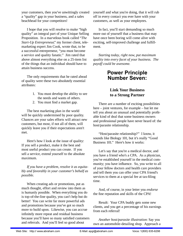your customers, then you've unwittingly created a "quality" gap in your business, and a sales beachhead for your competitors!

I hope that you will resolve to make "high quality" an integral part of your Unique Selling Proposition. In a marvelous book called "*The Start-Up Entrepreneur*," my former client, telemarketing expert Jim Cook, wrote that, to be a successful entrepreneur, "you must become a service and quality fanatic." Jim rated that above almost everything else on a 25-item list of the things that an individual should have to attain business success.

The only requirements that he rated ahead of quality were these two absolutely essential attributes:

- 1. You must develop the ability to see the needs and wants of others.
- 2. You must find a market gap.

The best marketing plan in the world will be quickly undermined by poor quality. Chances are your sales efforts will attract new customers, but most, if not all of them, will quickly leave you if their expectations aren't met.

Here's how I look at the issue of quality: If you sell a product, make it the best and most useful product you can create. If you sell a service, extend yourself to the absolute maximum.

*If you have a problem, resolve it as equitably and favorably in your customer's behalf as possible.*

When creating ads or promotions, put as much thought, effort and review into them as is humanly possible. When everything you do is top-of-the-line quality, you can't help but do better! You can write far more powerful ads and promotions because you've got so much more to build upon. Likewise, you can accrue infinitely more repeat and residual business because you'll have so many satisfied customers and referrals. And you'll feel so good about

yourself and what you're doing, that it will rub off in every contact you ever have with your customers, as well as your employees.

In fact, you'll start demanding so much more out of yourself that a business that may have once been boring will come alive with exciting, self-improved challenge and fulfillment.

*Starting today, right now, put maximum quality into every facet of your business. The payoff could be awesome*.

## **Power Principle Number Seven:**

#### **Link Your Business to a Strong Partner**

There are a number of exciting possibilities here – joint ventures, for example – but let me tell you about an unusual and potentially profitable kind of deal that some business owners and professional people have never heard of: the host/parasite relationship.

"Host/parasite relationship?" I know, it sounds like Biology 101, but it's really "Good Business 101." Here's how it works:

Let's say that you're a medical doctor, and you have a friend who's a CPA. As a physician, you've established yourself in the medical community; you have influence. So, you write to all of your fellow doctors and health care providers and tell them you can offer your CPA friend's services to them at a special fee at tax-filing time.

And, of course, in your letter you *endorse* the fine reputation and skills of the CPA!

Result: Your CPA buddy gets some new clients, and you get a percentage of his earnings from each referral!

*Another host/parasite illustration*: Say you own an automobile-detailing shop. Approach a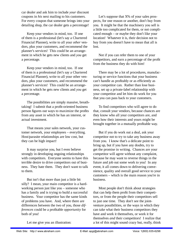car dealer and ask him to include *your* discount coupons in *his* next mailing to his customers. For every coupon that someone brings into your detailing shop, the car dealer gets a percentage!

Keep your vendors in mind, too. If one of them is a professional (let's say a Chartered Financial Planner), write to all your *other* vendors, plus your customers, and recommend the planner's services! This could be an arrangement in which he gets new clients and *you* get a percentage.

Keep your vendors in mind, too. If one of them is a professional (let's say a Chartered Financial Planner), write to all your other vendors, plus your customers, and recommend the planner's services! This could be an arrangement in which he gets new clients and *you* get a percentage.

The possibilities are simply massive, breathtaking! I submit that a profit-oriented business person figures out ways to maximize the profits from any asset in which he has an interest, or actual investment.

That means your sales network, your customer network, your employees – everything. Host/parasite relationships are low cost, but they can be high impact!

It may surprise you, but I even believe strongly in developing ongoing relationships with competitors. Everyone seems to have this terrible desire to drive competitors out of business. They hate them. They don't want to talk to them.

But isn't that more than just a little bit silly? I mean, your main competitor is a hardworking person just like you – someone who has a family and is trying to build a successful business. Your competitor has the same kinds of problems you have. And, where there are differences between the two of you, those *differences* could be a profitable *opportunity* for both of you!

Let's suppose that  $X\%$  of your sales prospects, for one reason or another, don't buy from you. It might be that the machinery you sell is a little too complicated for them, or not complicated enough – or maybe they don't like your location! Whatever it is, their decision not to buy from you doesn't have to mean that all is lost.

Not if you can refer them to one of your competitors, and earn a percentage of the profit from the business they do with him!

There may be a lot of procedures, manufacturing or service functions that your business can't handle as profitably or as efficiently as your competitor can. Rather than lose business, set up a private-label relationship with your competitor and let him do work for you that you can pass back to your customers.

To find competitors who will agree to do that, consult your vendors, because chances are they know who all your competitors are, and even how their interests and yours might be brought together in a mutually profitable way.

But if you do work out a deal, ask your competitor not to try to take any business away from you. I know that's a delicate point to bring up, but if you have any doubts, try to get the promise in writing. Chances are your competitor will agree without any complaint, because he may want to reverse things in the future and job out some work to you! In any event, it all comes down to delivering convenience, quality and overall good service to your customers – which is the main reason you're in business.

Most people don't think about strategies that can help them profit from their competitors, or from the people their competitors sell to just one time. They don't see the jointventure possibilities, or the ways in which they can take what their business competitors they have and work it themselves, or work it for themselves *and* their competitors! I realize that a lot of this might sound crazy but, really, think

Let me give you an illustration: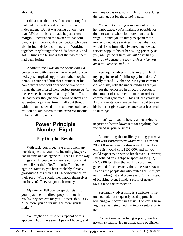about it.

I did a consultation with a contracting firm that had always thought of itself as fiercely independent. But, it was losing out on more than 95% of the bids it made by just a small margin. I persuaded the owner of that company to join forces with a competitor who was also losing bids by a slim margin. Working together, they brought their bids down 3% and got 10 times the business that the two of them had been losing.

Another time I was on the phone doing a consultation with a gentleman who sold oxygen, beds, post-surgical supplies and other hospital items. I convinced him that a number of his competitors who sold only one or two of the things that he offered were perfect prospects for the services he offered that they didn't offer. He had never thought about going to them and suggesting a joint venture. I talked it through with him and showed him that there could be a million dollars' worth of undiscovered income in his small city alone.

# **Power Principle Number Eight:**

#### **Pay Only for Results**

With luck, you'll get 75% effort from any outside specialist you hire, including lawyers, consultants and ad agencies. That's just the way things are. If you pay someone up front what they tell you their "fee" or "price" or "percentage" or "rate" is, you have probably already *guaranteed* less than a 100% performance on their part. Why should they knock themselves out for you? They've got their money.

*My advice*: Tell outside specialists that you'll pay them in direct proportion to the results they achieve for you – a "variable." Say "The more you do for me, the more you'll make!"

You might be a little bit skeptical of this approach, but I have seen it pay off hugely, and on many occasions, not simply for those doing the paying, but for those *being* paid.

You're not cheating someone out of his or her basic wage; you're making it possible for them to earn a whole lot more than a basic wage! In fact, you're likely to spend more money on outside services this way than you would if you immediately agreed to pay each service supplier his or her asking price! *(For you, the upside is that you will be virtually assured of getting the top-notch service you need and deserve to have.)*

Per-inquiry advertising is an example of my "pay for results" philosophy in action. A locally owned TV channel runs your commercial at night, with the understanding that you'll pay for that exposure in direct proportion to the number of customer inquiries or orders the commercial generates. This reduces *your* risk. And, if the station manager has unsold time on his hands, it gives *him* a chance to at least make *something!*

I don't want you to be shy about trying to negotiate a better, lower rate for anything that you need in your business.

Let me bring that to life by telling you what I did with *Entrepreneur Magazine*. They had 200,000 subscribers; a direct-mailing to their entire list would cost \$100,000, and all you could expect to do was to break even. However, I negotiated an eight-page space ad for \$22,000 - \$78,000 less than the mailing cost – and I generated almost exactly the same \$100,000 in sales as the people did who rented the *Entrepreneur* mailing list and broke even. Only, instead of breaking even, I made a profit of nearly \$60,000 on the transaction.

Per-inquiry advertising is a delicate, littleunderstood, but frequently used approach to reducing your advertising risk. The key is turning the advertising medium into a venture partner.

Conventional advertising is pretty much a no-win situation. If I'm a magazine publisher,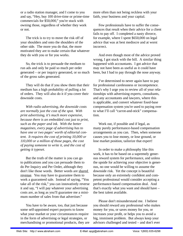or a radio station manager, and I come to you and say, "Hey, buy 100 drive-time or prime-time commercials for \$50,000," you're stuck with owning those, regardless of whether they work or not.

The trick is to try to move the risk off of your shoulders and onto the shoulders of the other side. The more you do that, the more motivated they are to make certain that whatever they do with you or for you works.

So, the trick is to persuade the medium to run ads and only be paid so much per order generated – or per inquiry generated, or so much of the gross sales generated.

They will do that if you show them that their medium has a high probability of pulling a lot of orders. They will also do it if you cover their downside costs.

*With radio advertising, the downside costs are normally just the cost of the spot. With print advertising, it's much more expensive, because there is an embedded cost just to print, such as the paper and ink. With the better magazines, every page of advertising has to have one or two pages' worth of editorial content. It requires the cost of printing 10,000 or 110,000 or a million of those pages, the cost of paying someone to write it, and the cost of getting it typeset.*

But the truth of the matter is you can go to publications and you can persuade them to do Per Inquiry and Per Order, although they don't like those words. Better words are shared revenue. You may have to guarantee them to work a guaranteed sale. Instead of saying, "You take all of the risk," you can innovatively reverse it and say, "I will pay whatever your advertising costs are, as long as you'll guarantee me a minimum number of sales from that advertiser."

You have to be aware, too, that just because some self-appointed expert purports to know what your market or your circumstances require in the form of advertising or legal strategies, or merchandising or promotional products, they are more often than not being reckless with your faith, your business and your capital.

Few professionals have to suffer the consequences that result when their advice for a client fails to pay off. I completed a nasty divorce, for example, where I spent \$650,000 on legal advice that was at best mediocre and at worst incorrect.

And even though most of the advice proved wrong, I got stuck with the bill. A similar thing happened with accountants. I got advice that may not have been as useful as it could have been, but I had to pay through the nose anyway.

I've determined to never again have to pay for professional carelessness or incompetence. That's why I urge you to review all of your relationships with advertising experts, consultants, and any accountants and lawyers, where this is applicable, and convert whatever fixed-base compensation system you're used to paying over to what I'll call "carrot-and-stick" compensation.

Work out, if possible and if legal, as many purely performance-based compensation arrangements as you can. Then, when someone causes you to lose money, or lose ground, or lose market position, tailorize that expert!

In order to make a philosophy like this work, it has to be based on a supremely generous reward system for performance, and unless the upside for achieving your objective is generous, no one would be willing to assume the downside risk. Yet the concept is beautiful because only an extremely confident and competent professional would consider accepting a performance-based compensation deal. And that's exactly what you want and should have – the best talent available.

Please don't misunderstand me. I believe you should reward any professional who makes money for you, or saves money for you, or increases your profit, or helps you to avoid a big, imminent problem. But always keep your advisors challenged and tested – and don't ever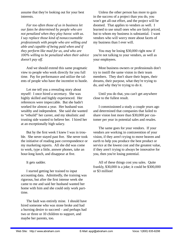assume that they're looking out for your best interests.

*Far too often those of us in business let our fates be determined by people who are not penalized when they play havoc with us. I say replace those kind of nonaccountable professionals with people who are willing and able and capable of being paid when and if they perform like mad for us, and who are 100% willing to be penalized when their advice doesn't pay off.*

And we should extend this same pragmatic view to people who work directly for you full time. Pay for performance and utilize the talents of people who have the incentive to hustle.

Let me tell you a revealing story about myself: I once hired a secretary. She was highly skilled and highly experienced. Her references were impeccable. But she hadn't worked for almost a year. Her husband was wealthy and independent. She said she wanted to "rebuild" her career, and my idealistic and trusting side wanted to believe her. I hired her at an exceptionally high salary.

But by the first week I knew I was in trouble. She never stayed past five. She never took the initiative of reading past correspondence or my marketing reports. All she did was come to work, type a little, answer phones, take an hour-long lunch, and disappear at five.

It gets sadder.

I started getting her trained to input accounting data. Admittedly, the training was rigorous, but after the first intense week she came to me and said her husband wanted her home with him and she could only work parttime.

The fault was entirely mine. I should have hired someone who was stone broke and had a burning desire to succeed – and perhaps had two or three or 10 children to support, and maybe her parents, too.

Unless the other person has more to gain in the success of a project than you do, you won't get all-out effort, and the project will be doomed. That applies to vendors as well. I learned to use small ones who are fairly priced, but to whom my business is substantial. I want vendors who will worry more about facets of my business than I ever will.

You may be losing \$30,000 right now if you're not talking to your vendors, as well as your employees.

Most business owners or professionals don't try to instill the same vision in their team members. They don't share their hopes, their dreams, their purpose, what they're trying to do, and why they're trying to do it.

Until you do that, you can't get anywhere close to the fullest result.

I commissioned a study a couple years ago and determined that companies that failed to share vision lost more than \$30,000 per customer per year in potential sales and resales.

The same goes for your vendors. If your vendors are working in contravention of your vision, if they aren't trying to move heaven and earth to help you produce the best product or service at the lowest cost and the greatest value, if they aren't trying to always be innovative for you, then you're losing potential.

All of these things cost you sales. Quite frankly, \$30,000 is a joke; it could be \$300,000 or \$3 million!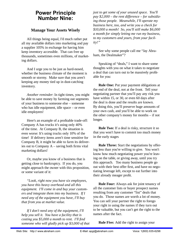## **Power Principle Number Nine:**

#### **Manage Your Assets Wisely**

All things being equal, I'd much rather put all my available dollars into marketing and pay a supplier 105% in exchange for having him keep inventory accessible. That can free up thousands, sometimes even millions, of marketing dollars.

And I urge you to be just as hard-nosed, whether the business climate of the moment is smooth or stormy. Make sure that you aren't keeping any money tied up in dust-catching inventory.

*Another reminder*: In tight times, you might be able to save money by farming out segments of your business to someone else – someone who has idle equipment, idle space – or even idle employees!

Here's an example of a profitable trade-off: Company A has trucks it's using only 40% of the time. At Company B, the situation is even worse: It's using trucks only 10% of the time! If delivery items aren't time sensitive for Company B, it might be able to farm its deliveries out to Company  $A$  – saving both firms vital marketing dollars!

Or, maybe you know of a business that is getting close to bankruptcy. If you do, you might approach the owner with this proposition, or some variant of it:

*"Look, right now you have six employees, you have this heavy overhead and all this equipment. I'll come in and buy your customers and integrate them into my business. If I need any of the equipment you have, I'll buy that from you at market value.*

*If I don't need any of the equipment, I'll help you sell it. You have a facility that is costing you \$5,000 a month to rent. I'll find someone who will gladly pick up \$3,000 of that*  *just to get some of your unused space. You'll pay \$2,000 – the rent difference – for subsidizing those people. Meanwhile, I'll operate my business here, too, and write you a check for \$10,000 a month! So, you'll still make \$6,000 a month for simply letting me run my business, to my customers and yours, from your facility!"*

See why some people call me "Jay Abraham, the Dealmaker"?

Speaking of "deals," I want to share some thoughts with you on what it takes to negotiate a deal that can turn out to be massively profitable for you:

**Rule One:** Put your payment obligations at the end of the deal, not at the front. Tell your negotiating partner that you'll pay any risk you have within 15, or 30, or even 60 days after the deal is done and the results are known. By doing this, you'll preserve huge amounts of your own cash, and you'll be able to work on the other company's money for months – if not longer.

**Rule Two:** If a deal is risky, structure it so that you won't have to commit too much money in the early stages

**Rule Three:** Start the negotiations by offering less than you're willing to give. You won't know how much negotiating power you're leaving on the table, or giving away, until you try this approach. Too many business people go out with their best offer first, and have no negotiating leverage left, except to eat further into their already meager profit.

**Rule Four:** Always ask for joint tenancy of all the customer lists or buyer prospect names resulting from any customer "list" deals that you do. Those names are worth a lot of money. You can sell your partner the right to forego your right in using the names if they turn out to be valuable, but you can't get the right to the names after the fact.

**Rule Five:** Add the right to assign your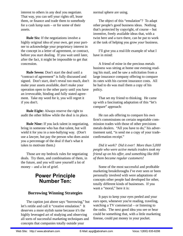interest to others in any deal you negotiate. That way, you can sell your rights off, lease them, or finance and trade them to somebody for a cash lump sum – or for some of their assets.

**Rule Six:** If the negotiations involve a highly original idea of your own, get your partner to acknowledge your proprietary interest in the concept in a letter of agreement, or contract, before you start dealing. If you wait until later, after the fact, it might be impossible to get that concession.

**Rule Seven:** Don't start the deal until a "contract of agreement" is fully discussed and signed. Don't start, don't reveal too much, don't make your assets available, don't make your operation open to the other party until you have an irrevocable, binding and fully stated agreement. Take my word for it, you will regret it if you don't.

**Rule Eight:** Always reserve the right to audit the other fellow while the deal is in place.

**Rule Nine:** If you lack talent in negotiating, bring in someone who has that talent, but will wield it for you in a non-bullying way. (Don't use a lawyer, but pay the person who does assist you a percentage of the deal if that's what it takes to motivate them.)

Those are my bedrock rules for negotiating deals. Try them, and combinations of them, in the future, and you will save yourself a lot of money – and a lot of grief.

## **Power Principle Number Ten:**

#### **Borrowing Winning Strategies**

The caption just above says "borrowing," but let's retitle and call it "creative emulation." It deserves a more stylish name because it's the highly leveraged art of studying and observing all sorts of successful marketing techniques and concepts that companies totally outside your

normal sphere are using.

The object of this "emulation"? To adapt other people's good business ideas. Nothing that's protected by copyright, of course – but inventive, freely available ideas that, with a twist here and a turn there, can be put to work at the task of helping you grow *your* business.

I'll give you a real-life example of what I have in mind:

A friend of mine in the precious metals business was sitting at home one evening reading his mail, and he saw a solicitation from a large insurance company offering to compare its rates with his current insurance costs. All he had to do was mail them a copy of his policy.

That set my friend to thinking. He came up with a fascinating adaptation of this "let's compare" approach:

He ran ads offering to compare his own firm's commissions on certain negotiable commission trades with those of other precisions metals dealers. "All you have to do," his advertisement said, "is send me a copy of your tradeconfirmation receipt."

*Did it work? Did it ever! More than 5,000 people who were active metals traders took my friend up on his offer, and something like 800 of them became regular customers!*

Some of the most successful and profitable marketing breakthroughs I've ever seen or been personally involved with were adaptations of concepts other people had developed for other, totally different kinds of businesses. If you want a "moral," here it is:

It pays to keep your eyes peeled and your ears open, whenever you're reading, traveling, watching a TV commercial – or listening to the radio. The next good idea you see or hear could be something that, with a little marketing finesse, could put money in your pocket.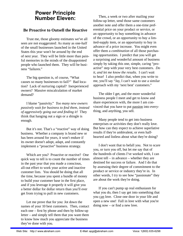## **Power Principle Number Eleven:**

#### **Be Proactive to Outsell the Reactive**

Trust me, those gloomy estimates we've all seen are not exaggerated: As many as one-half of the small businesses launched in the United States this year won't be around by the end of next year. They will be little more than painful memories in the minds of the disappointed people who launched them. They will be business "failures."

The big question is, of course, "What causes so many businesses to fail?" Bad location? Lack of nurturing capital? Inexperienced owners? Massive miscalculation of market demand?

I blame "passivity." *Too many new owners passively wait for business to find them, instead of aggressively going out and finding it!* They think that hanging out a sign or a shingle is enough.

But it's not. That's a "reactive" way of doing business. Whether a company is brand new or has been around for years, it won't endure if its owner doesn't adopt, adapt, and constantly implement a "proactive" business strategy.

Which are you? Proactive or reactive? One quick way to tell is to count the number of times in the past year that you made a conscious, all-out effort to work your active and inactive customer lists. You should be doing that all the time, because you spent a bundle of money to build your customer base in the first place, and if you leverage it properly it will give you a better dollar for dollar return than you'll ever get from trying to pull in new customers.

Let me prove that for you: Jot down the names of your 10 best customers. Then, contact each one – first by phone and then by follow-up letter – and simply tell them that you want them to know how much you appreciate the business they've done with you.

Then, a week or two after mailing your follow-up letter, send those same customers another note and offer them a one-time preferential price on your product or service, or an opportunity to buy something in advance of the crowd, or an opportunity to buy a limited-supply item, or an opportunity to buy in advance of a price increase. You might even offer them a *combination* of all those purchasing opportunities. I predict that you will get a surprising and wonderful amount of business simply by taking this one, simple, caring "proactive" step with your very best customers. *Do it, and let me know the results.* I can't wait to hear! I also predict that, when you write to me, you'll say "Jay, I can't wait to use a similar approach with my 'next best' customers."

The older I get, and the more wonderful business people I meet and get to know and share experiences with, the more I am convinced that you have to put passion into everything, and anything, you sell.

Many people tend to get into business enterprises or activities they don't really love. But how can they expect to achieve superlative results if they're ambivalent, or even halfhearted and listless about what they're doing?

I don't want that to befall you. Not to scare you, or turn you off, but let me say that of the hundreds of clients I've worked with, I can almost tell – in advance – whether they are destined for success or failure. And I do that by assessing their degree of commitment to the product or service or industry they're in. In other words, I try to see how "passionate" they are about the work they're doing.

If you can't pump up real enthusiasm for what you do, then I say get into something that you can love. Close one door in your life and open a new one! Fall in love with what you're doing now – or find a new love.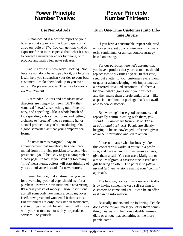## **Power Principle Number Twelve:**

#### **Use Non-Ad Ads**

A "non-ad" ad is a positive report on your business that appears in the local papers or is aired on radio or TV. You can get that kind of exposure for no more expense than what it costs to contact a newspaper editor by phone, or to produce and mail a few news releases.

And *it's exposure well worth seeking.* Not because you don't have to pay for it, but because it will help you strengthen your ties to your best customers – make them look up to you even more. People are people. They like to associate with winners.

A reminder: Editors and broadcast news directors are hungry for news. BUT – they want real "news" …something out of the ordinary, and appealing…like a whole bunch of kids spending a day at your plant and getting a chance to "pretend" they're running it…or a novel product that you're introducing. Or, a good samaritan act that your company performs.

If a news item is marginal – say an announcement that somebody has been promoted from third vice president to second vice president – you'll be lucky to get a paragraph on a back page. In fact, if you send out too many "little" news items, editors will start thinking of you as a nuisance instead of a news source.

Remember, too, that anytime that you pay for advertising, your ad copy should ask for a purchase. Never run "institutional" advertising. It's a crazy waste of money. Those institutional ads tell somebody how much a company loves itself, how great and wonderful it thinks it is. But customers are only interested in themselves, and in things that will benefit them. Fall in love with your customers, not with your products, services – or yourself.

## **Power Principle Number Thirteen:**

#### **Turn One-Time Customers Into Lifetime Buyers**

If you have a consumable, repeat-sale product or service, set up a *regular* monthly, quarterly, semiannual or annual contact strategy, based on testing.

For our purposes here, let's assume that you have a product that your customers should replace two to six times a year. In that case, send out a letter to your customers every month or quarter acknowledging their importance as a preferred or valued customer. Tell them a bit about what's going on in your business, and then make them a preferential offer – like a special combination package that's not available to new customers.

By "working" those good customers, and repeatedly communicating with them, *you should pull anywhere from 20% to 300% in additional business!* People are silently begging to be acknowledged, informed, given advance information and led to action.

It doesn't matter what business you're in, this concept will work! If you're in a profession, and have a handful of expensive clients, give them a call. You can use a Mailgram or a mock Mailgram, a cassette tape, a card or a gift bearing an offer. The point is to *follow up* and *test* new versions against your "control" approach.

The best way you can increase retail traffic is by having something very self-serving for customers to come and get – it can be an offer or it can be information.

Basically, understand the following: People don't come to you unless you offer them something they want. The more valuable, immediate or unique that something is, the more people come.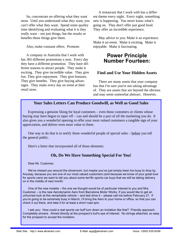So, concentrate on offering what they want most. Until you understand what *they* want, you can't offer what they want. Spend some quality time identifying and evaluating what it is they really want – not just things, but the results or benefits those things give them.

Also, make constant offers. Promote.

A company in Australia that I work with has 365 different promotions a year. Every day they have a different promotion. They have different reasons to attract people. They make it exciting. They give incredible value. They give fun. They give enjoyment. They give bonuses. They give benefits. They give buying advantages. They make every day an event at their retail store.

A restaurant that I work with has a different theme every night. Every night, something new is happening. You never know what's going on. They don't offer just good food. They offer an incredible experience.

May advice to you: Make it an experience. Make it an event. Make it exciting. Make it enjoyable. Make it fascinating.

## **Power Principle Number Fourteen:**

#### **Find and Use Your Hidden Assets**

There are many assets that your company has that I'm sure you're not taking advantage of. They are assets that are beyond the obvious and may seem somewhat abstract. However,

#### **Your Sales Letters Can Produce Goodwill, as Well as Good Sales**

Expressing a genuine liking for loyal customers – even those customers or clients whose buying may have begun to taper off – can and should be a part of all the marketing you do. It also gives you a wonderful opening to offer your most valued customers a tangible sign of your appreciation, and deliver even more value to them.

One way to do that is to notify those wonderful people of special sales – before you tell the general public.

Here's a letter that incorporated all of those elements:

#### **Oh, Do We Have Something Special For You!**

Dear Mr. Customer,

We've missed you around the showroom, but maybe you've just simply been too busy to drop by. Anyway, because you are one of our most valued customers (and because we know of your great love for sports cars) we want to tell you about some terrific sports-car buys that we will be taking delivery on in the middle of next month.

One of the new models – the one we thought would be of particular interest to you and Mrs. Customer – is the new Aerodynamic Aero from Barcelona Motor Works. If you would like to get an unhurried look at this remarkable vehicle – and test drive it – please call me before February 21. If you're going to be extremely busy in March, I'll bring the Aero to your home or office, so that you can check it out there, and take it for at least a short road spin.

I ask you: How could a real sports-car buff turn down an invitation like that? Friendly approach. Completely sincere. Aimed directly at the prospect's bull's eye of interest. No strings attached, so easy for the prospect to accept the invitation.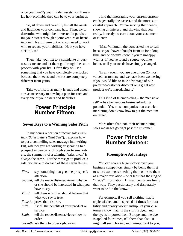once you *identify* your hidden assets, you'll realize how profitable they can be to your business.

So, sit down and carefully list all the assets and liabilities your company has. Then, try to determine who might be interested in purchasing your assets through a joint venture or licensing deal. Next, figure out who you need to work with to reduce your liabilities. Now you have a "Hit List."

Then, take your list to a confidante or business associate and let them go through the same process with your list. Often they will see something that you have completely overlooked because their needs and desires are completely different from yours.

Take your list to as many friends and associates as necessary to develop a plan for each and every one of your assets and liabilities.

## **Power Principle Number Fifteen:**

#### **Seven Keys to a Winning Sales Pitch**

In my bonus report on effective sales writing ("*Sales Letters That Sell*"), I explain how to put a compelling sales message into writing. But, whether you are writing or speaking to a prospect in person or through your telemarketers, the symmetry of a winning "sales pitch" is always the same. For the message to produce a sale, you have to do each of these seven things:

| First,  | say something that gets the prospect's                 |
|---------|--------------------------------------------------------|
|         | attention.                                             |
|         | <i>Second</i> , tell the reader/listener/viewer why he |
|         | or she should be interested in what you                |
|         | have to say.                                           |
|         | Third, tell them why they should believe that          |
|         | what you say is true.                                  |
| Fourth, | prove that it's true.                                  |
| Fifth,  | list all the benefits of your product or               |
|         | service.                                               |
| Sixth,  | tell the reader/listener/viewer how to                 |

*Sixth*, tell the reader/listener/viewer how to order.

*Seventh*, ask them to order right away.

I find that messaging your current customers is generally the easiest, and the more successful approach. You're serving their needs, showing an interest, and showing that you really, honestly do care about your customers or clients:

"Miss Whitman, the boss asked me to call because you haven't bought from us for a long time and he doesn't know if you're unhappy with us, if you've found a source you like better, or if your needs have simply changed.

"In any event, you are one of our 25 most valued customers, and we have been wondering if you would like to take advantage of our preferred-customer discount on a great new product we're introducing…"

This kind of telemarketing – the "sensitive sell" – has tremendous business-building potential. Yet, most companies that use telemarketing don't know how to put the medium on target.

More often than not, their telemarketing sales messages go right past the customer.

## **Power Principle Number Sixteen:**

#### **Preemptive Advantage**

You can score a huge victory over your business competitors simply by being the first to tell customers something that comes to them as a major revelation – or at least has the ring of "inside" information. Human beings are funny that way. They passionately and desperately want to be "in the know."

For example, if you sell clothing that is triple stitched and inspected 14 times for durability and quality workmanship, let your customers know that. If the stuff is dyed, and the dye is imported from Europe, and the dye is applied four times, tell them that also. It might all seem boring and unimportant to you,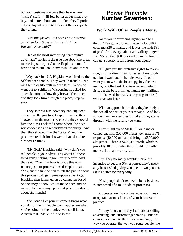but your customers – once they hear or read "inside" stuff – will feel better about what they buy, and better about you. In fact, they'll probably replay what you tell them at the next party they attend!

*"See this jacket? It's been triple stitched and dyed four times with rare stuff from Europe. Nice, huh?"*

One of the most interesting "preemptive advantage" stories is the true one about the great marketing strategist Claude Hopkins, a man I have tried to emulate in my own life and career.

Way back in 1919, Hopkins was hired by the Schlitz beer people. They were in trouble – running tenth or fifteenth in beer sales. When he went out to Schlitz in Wisconsin, he asked for an explanation of how they brewed their beer, and they took him through the place, step by step.

They showed him how they had dug deep artesian wells, just to get superior water; they showed him the mother yeast cell; they showed him the glass-enclosed rooms where the beer was condensed and recondensed for purity. And then they showed him the "tasters" and the place where their bottles were cleaned and recleaned 12 times.

"My God," Hopkins said, "why don't you tell people in your advertising about all these steps you're taking to brew your beer?" And they said, "Well, *all* beer is made this way. It's not just our process." And Hopkins said, "Yes, but the first person to tell the public about this process will gain preemptive advantage." Hopkins then launched an ad campaign based on the story of how Schlitz made beer, and he moved that company up to first place in sales in about six months!

*The moral*: Let your customers know what you do for them. People won't appreciate what you're doing for them unless you spell it out. Articulate it. Make it fun to know.

## **Power Principle Number Seventeen:**

#### **Work With Other People's Money**

Go to your advertising agency and tell them: "I've got a product that sells for \$100, costs me \$20 to make, and leaves me with \$80 of profit from every sale. I am willing to give you \$50 of that \$80 to spend on marketing if I can get superior results from your agency.

"I'll give you the exclusive rights to television, print or direct mail for sales of my product, but I want you to handle everything. I want you to write the best copy, buy the best media, rent the best direct-response mailing lists, get the best printing, handle my mailings – all of it. And for every sale you generate, I will give you \$50."

With an approach like that, they're likely to finance all or part of your campaign. And look at how much money they'll make if they come through with the results you want:

They might spend \$100,000 on a major campaign, mail 200,000 pieces, generate a 5% response (10,000 units) and bring in \$500,000 altogether. That's a  $$400,000$  profit, which is probably 10 times what they would normally make off a major campaign.

Plus, they normally wouldn't have the incentive to get that 5% response; they'd probably be satisfied giving you one or two percent. So it's better for everybody!

Most people don't realize it, but a business is composed of a multitude of processes.

Processes are the various ways you transact or operate various facets of your business or practice.

For my focus, normally I talk about selling, advertising, and customer generating. But processes also relate to the way you manage, the way you operate, the way you route people, the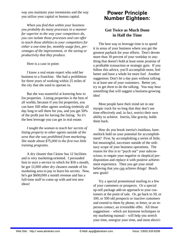way you maintain your inventories and the way you utilize your capital or human capital.

*When you find that within your business you probably do many processes in a manner far superior to the way your competitors do, you can isolate those processes and can offer to teach those abilities to your competitors for either a one-time fee, monthly usage fees, percentages of the improvement, or the saving or productivity that they produce.*

Here is a case in point:

I know a real estate expert who sold her business to a franchise. She had a prohibition for three years of working within 25 miles of the city that she used to operate in.

But she was masterful at knowing how to list properties. Listing properties is the best of all worlds, because if you list properties, you can have 100 other agents working tirelessly all day long to sell them for you, and you get 50% of the profit just for having the listing. So it's the best leverage you can get in real estate.

*I taught the woman to teach her secrets of listing property to other agents outside of the area that she was prohibited from marketing.*  She made about \$75,000 in the first two little *training programs.*

A dry cleaner that I know has 12 facilities and is very marketing-oriented. I persuaded him to start a service in which for \$50 a month, he got 12,000 other dry cleaners outside of his marketing area to pay to learn his secrets. Now, he's got \$600,000 a month revenue and has a full-time staff to come up with and test new ideas!

# **Power Principle Number Eighteen:**

#### **Get Twice as Much Done in Half the Time**

The best way to leverage time is to spend it in areas of your business where you get the greatest payback for your efforts. Don't devote more than 10 percent of your workday to anything that doesn't hold at least some promise of a profitable transaction or strategic gain. If you follow this advice, you'll accomplish more, feel better and have a whole lot more fun! Another suggestion: Don't let a day pass without talking to at least one of your customers. Better yet, try to get *them* to do the talking. You may hear something that will suggest a business-growing idea!

Most people have their mind set in one myopic track for so long that they don't use time effectively and, in fact, restrict their own ability to achieve. Inertia, like gravity, holds them back.

How do you break inertia's insidious, hammerlock hold on your potential for accomplishment? First, by accomplishing a series of little, but meaningful, successes outside of the ordinary scope of your business operations. The reason for this is to "psych out" your subconscious, to negate your negative or skeptical predisposition and replace it with positive achievement experience. Then you get your mind believing that you can achieve things! Reach new goals!

Try a special promotional mailing to a few of your customers or prospects. Or a special up-sell package add-on approach to your customers at the point of sale. Or, go back to 50, or 100, or 500 old prospects or inactive customers and extend to them by phone, or letter, or an inperson contact, an irresistible offer. All those suggestions – which are keystone techniques in my marketing manual – will help you stretch your time, energize your time, and most electri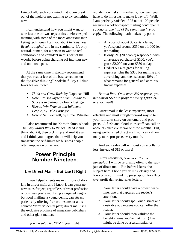fying of all, teach your mind that it *can* break out of the mold of not wanting to try something new.

I can understand how you might want to take just one or two steps at first, before experimenting with some of the more ambitious marketing techniques I tell you about in "*Business Breakthroughs*," and in my seminars. It's only natural, human, for a person to want to feel comfortable and confident in *this* part of the woods, before going charging off into *that* new and unknown part.

At the same time, I strongly recommend that you read a few of the best selections on the "positive thinking" bookshelf. My all-time favorites are these:

> *Think and Grow Rich*, by Napolean Hill *How I Raised Myself From Failure to Success in Selling*, by Frank Betzger **How to Win Friends and Influence** *People*, by Dale Carnegie *How to Sell Yourself*, by Elmer Wheeler

I also recommend Joe Karbo's famous book, *The Lazy Man's Way to Riches*. Read it and think about it, then pick it up and read it again, and I think you'll agree that it will help you transcend the self-limits we business people often impose on ourselves.

## **Power Principle Number Nineteen:**

#### **Use Direct Mail – But Use It Right**

I have helped clients make millions of dollars in direct mail, and I know it can generate new sales for *you*, regardless of what profession or business you're in. Using a targeted neighborhood mailing, a young dentist can attract patients by offering free oral exams or a discounted "family" dental plan; direct mail isn't the exclusive province of magazine publishers and other giant mailers.

wonder how risky it is – that is, how well you have to do in results to make it pay off. Well, I am perfectly satisfied if 95 out of 100 people receiving a cold-prospect mailing don't open it, *so long as one half of the remaining fi ve do reply*. The following math makes my point:

> At a cost of about 35 cents a letter, you'd spend around \$350 on a 1,000-letter mailing. If only 2% (20 people) responded, with an average purchase of \$100, you'd gross \$2,000 on your \$350 outlay. Deduct 50% of gross for selling expenses, plus the \$350 for mailing and advertising, and then subtract 10% of what remains for general and administrative expenses.

*Bottom line: On a mere 2% response, you*  net almost \$600 in profit for every 1,000 let*ters you mail!*

Direct mail is the least expensive, most effective and most straightforward way to tell your full sales story on customers and prospects. A flesh-and-blood sales staff can call on accounts once every two or three months. But, using well-crafted direct mail, you can call on many more prospects every month.

And each sales call will cost you a dollar or less, instead of \$15 or more!

In my newsletter, "*Business Breakthroughs*," I will be returning often to the subject of direct mail. But before I leave the subject here, I hope you will fix clearly and forever in your mind my prescription for effective, profit-delivering sales letters:

- 1. Your letter should have a power headline, one that captures the reader's attention.
- 2. Your letter should spell out distinct and desirable advantages you can offer the reader.
- 3. Your letter should then validate the benefit claims you're making. (This might be done by a testimonial, or

If you haven't tried "DM", you might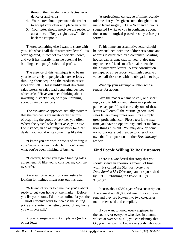through the introduction of factual evidence or analysis.)

- 4. Your letter should persuade the reader to accept your offer and place an order.
- 5. Your letter should motivate the reader to act at once. "Reply right away." "Send back the coupon."

There's something else I want to share with you. It's what I call the "assumptive letter." It's often ignored, in fact not even widely known, and yet it has literally massive potential for building a company's sales and profits.

The essence of this technique is to beam your letter solely to people who are seriously thinking about acquiring the products or services you sell. This is unlike most direct-mail sales letters, or sales lead-generating devices which ask: "Have you been thinking about investing in stocks?" or, "Are you thinking about buying a new car?"

The *assumptive* approach actually assumes that the prospects are inextricably desirous of acquiring the goods or services you offer. Where the typical sales letter *asks*, you *state*. For instance, in an assumptive letter for a car dealer, you would write something like this:

"I know you are within weeks of trading in your Sable on a new model, but I don't know what you've been thinking of buying.

"However, before you sign a binding sales agreement, I'd like you to consider my company's offer."

An assumptive letter for a real estate firm looking for listings might start out this way:

"A friend of yours told me that you're about ready to put your home on the market. Before you list your home, I'd like to outline for you the 10 most effective ways to increase the selling price and shorten the listing period of any home you will ever sell."

A plastic surgeon might simply say (in his or her letter):

"A professional colleague of mine recently told me that you've given some thought to cosmetic facial surgery." Or – "A friend of yours suggested I write to you in confidence about the cosmetic surgical procedures my office performs."

To hit home, an assumptive letter should be personalized, with the addressee's name and address laser-printed by a computer. Mailing houses can arrange that for you. I also urge my business friends to offer major benefits in their assumptive letters. A free consultation, perhaps, or a free report with high perceived value – all risk-free, with no obligation to buy.

Wind up your assumptive letter with a request for action.

Give the reader a name to call, or a short reply card to fill out and return in a postagepaid envelope. If used correctly, one of these letters will outpull the routine, generalized sales letters many times over. It's a simply great profit enhancer. Please test it the next time you have an opportunity, and let me know how things turn out. You may develop some non-proprietary but creative touches of your own that I can pass on to other *Breakthrough* readers.

#### **Find People Willing To Be Customers**

There is a wonderful directory that you should spend an enormous amount of time with. It's called the *Standard Rate and Data Service List Directory*, and it's published by SRDS Publishing in Skokie, IL. (800) 323-4601

It costs about \$350 a year for a subscription. There are about 40,000 different lists you can rent and they are broken into two categories: mail orders sold and compiled.

If you want to know every engineer in the country or everyone who lives in a home valued at over \$500,000, you can identify that. Or, you may want to know everybody who sub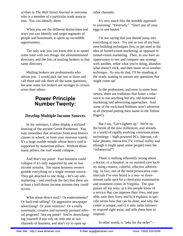scribes to *The Wall Street Journal* or everyone who is a member of a particular trade association. You can identify them.

When you see the different distinctions and ways you can identify and target segments of people and businesses, it opens up incredible opportunities.

The only way you can know this is to spend some time with two things: the aforementioned directory, and the lists of mailing brokers in that same directory.

Mailing brokers are professionals who advise you. I would pick out two or three and call them and ask them all the same questions, because some list brokers are stronger in certain areas than others.

## **Power Principle Number Twenty:**

#### **Develop Multiple Income Sources**

In my seminars, I often display a stylized drawing of the ancient Greek Parthenon. You may remember that structure from your history classes in school, or from your overseas travels. It's a large marble temple whose heavy roof is supported by numerous pillars. Without those many pillars, the roof would collapse.

And that's my point! Your business could collapse if it's only supported by one or two income streams. Too many business owners gamble everything on a single revenue source. They get attached to one thing – let's say telemarketing – and overlook the fact that there are at least a half-dozen income streams they could access.

What about direct mail? Or endorsements? Or back-end selling? Or aggressive newspaper advertising? Or joint ventures? Or a really systematic, creative and earnestly pursued referral program? See my point? You're shortchanging yourself if you rely on only one or two channels of business, and don't try to open up

other channels.

It's very much like the sensible approach to investing: "Diversify." "Don't put all your eggs in one basket."

I'm not saying that you should jump into everything at once. Try one or two of my business-building techniques first, to get used to the idea of funnel-vision marketing, as opposed to tunnel-vision marketing. Then, as you have an opportunity to test and compare one strategy with another, refine what you're doing, abandon what doesn't click, and then move on to another technique. As you do that, I'll be standing at the ready, waiting to answer any questions that might come up!

In the professions, and even in some businesses, there are traditions that foster a reluctance to use anything but dry, old-fashioned marketing and advertising approaches. And some of the rock-hard holdouts won't advertise at all (beyond putting their name in the Yellow Pages!).

But I say, "Let's lighten up." We're on the brink of the new millenium, and already in a world of rapidly evolving communications technology – high-powered PCs, Internet, cellular phones, interactive TV, virtual reality and (though it might upset some people) even the "infomercial"!

There is nothing inherently wrong about a doctor, or a hospital, or an assisted-care facility using creative, colorful, effective advertising. In fact, one of the most provocative commercials I've ever heard is a two- or threeminute radio spot for a chest-pain examination and treatment center in Virginia. The spot passes all my tests: a) it lets people know of a service that can improve their lives, and possibly save their lives, and b) it explains in specific terms how that can be done, and why the center is unique, and c) it asks radio listeners to respond right away, and tells them how to respond.

In other words, it "asks for the order" –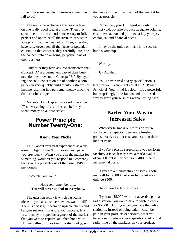something some people in business sometimes fail to do!

The real super-achievers I've known take on one really good idea at a time. Then they spend the time and attention necessary to fully perfect and optimize all the avenues of sustainable profit that one idea holds. Then, after they have fully developed all the facets of potential existing in that concept, they carefully integrate the concept into an ongoing, perpetual part of their business.

Only after they have assured themselves that Concept "A" is a permanent part of their business do they move on to Concept "B." By layering one solid concept on top of another, a company can very quickly build fabulous streams of income resulting in a perpetual money machine that can't be stopped.

Marketer John Caples once said it very well: "Test everything on a small scale before you spend money on a large scale."

## **Power Principle Number Twenty-One:**

#### **Know Your Niche**

Think about your past experiences as a customer in light of the "USP" examples I gave you previously. When you are in the market for something, wouldn't you respond to a company that strongly presents one of the basic USPs I mentioned?

Of course you would!

#### However, remember this: **You will never appeal to everybody.**

The question really is which particular niche do you, as a business owner, want to fill? There is a vast gulf between upscale clients and bargain seekers. To assure your success, let's first identify the specific segment of the market that you want to capture, and then hone your Unique Selling Proposition to a sharp edge, so

that we can slice off as much of that market for you as possible.

Remember, your USP must not only fill a market void, but also produce adequate volume, customers, action and profit to satisfy your psychological and financial needs.

I may be the guide on this trip to success, but it's your trip.

Warmly,

Jay Abraham

P.S. I have saved a very special "Bonus" treat for you. You might call it a 22nd Power Principle! You'll find it below  $-$  it's a powerful, but surprisingly little-known and little-used way to grow your business without using cash!

## **Barter Your Way to Increased Sales**

Whatever business or profession you're in, you have the capacity to generate finished goods or services that cost you less than their market value.

If you're a plastic surgeon and you perform facelifts, a facelift may have a market value of \$4,000, but it may cost you \$400 in hard incremental costs.

If you are a manufacturer of sofas, a sofa may sell for \$5,000, but your hard cost may only be \$500.

Here's how bartering works:

If you ran \$5,000 worth of advertising on a radio station, you would have to write a check for \$5,000. But if you can persuade the radio station to, instead of being paid in cash, be paid in your products or services, what you have done is reduce your acquisition cost of that radio time by the markups on your product.